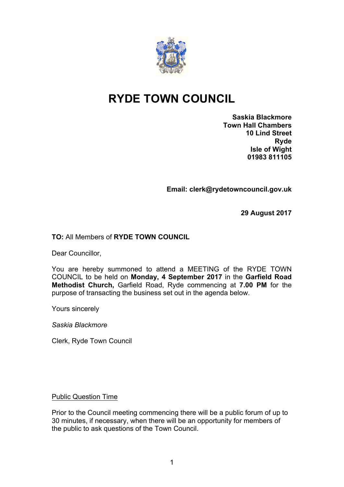

# **RYDE TOWN COUNCIL**

**Saskia Blackmore Town Hall Chambers 10 Lind Street Ryde Isle of Wight 01983 811105**

**Email: clerk@rydetowncouncil.gov.uk**

**29 August 2017**

# **TO:** All Members of **RYDE TOWN COUNCIL**

Dear Councillor,

You are hereby summoned to attend a MEETING of the RYDE TOWN COUNCIL to be held on **Monday, 4 September 2017** in the **Garfield Road Methodist Church,** Garfield Road, Ryde commencing at **7.00 PM** for the purpose of transacting the business set out in the agenda below.

Yours sincerely

*Saskia Blackmore*

Clerk, Ryde Town Council

Public Question Time

Prior to the Council meeting commencing there will be a public forum of up to 30 minutes, if necessary, when there will be an opportunity for members of the public to ask questions of the Town Council.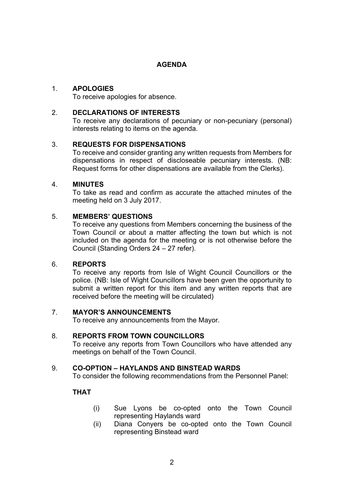# **AGENDA**

# 1. **APOLOGIES**

To receive apologies for absence.

#### 2. **DECLARATIONS OF INTERESTS**

To receive any declarations of pecuniary or non-pecuniary (personal) interests relating to items on the agenda.

# 3. **REQUESTS FOR DISPENSATIONS**

To receive and consider granting any written requests from Members for dispensations in respect of discloseable pecuniary interests. (NB: Request forms for other dispensations are available from the Clerks).

#### 4. **MINUTES**

To take as read and confirm as accurate the attached minutes of the meeting held on 3 July 2017.

# 5. **MEMBERS' QUESTIONS**

To receive any questions from Members concerning the business of the Town Council or about a matter affecting the town but which is not included on the agenda for the meeting or is not otherwise before the Council (Standing Orders 24 – 27 refer).

#### 6. **REPORTS**

To receive any reports from Isle of Wight Council Councillors or the police. (NB: Isle of Wight Councillors have been gven the opportunity to submit a written report for this item and any written reports that are received before the meeting will be circulated)

#### 7. **MAYOR'S ANNOUNCEMENTS**

To receive any announcements from the Mayor.

#### 8. **REPORTS FROM TOWN COUNCILLORS**

To receive any reports from Town Councillors who have attended any meetings on behalf of the Town Council.

#### 9. **CO-OPTION – HAYLANDS AND BINSTEAD WARDS**

To consider the following recommendations from the Personnel Panel:

# **THAT**

- (i) Sue Lyons be co-opted onto the Town Council representing Haylands ward
- (ii) Diana Conyers be co-opted onto the Town Council representing Binstead ward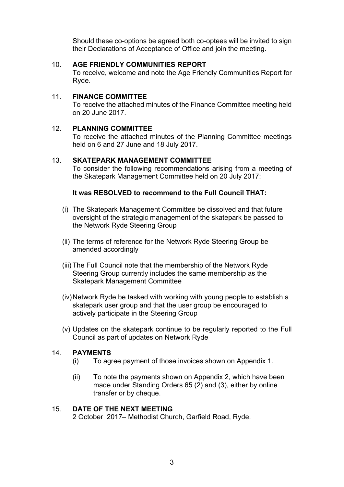Should these co-options be agreed both co-optees will be invited to sign their Declarations of Acceptance of Office and join the meeting.

#### 10. **AGE FRIENDLY COMMUNITIES REPORT**

To receive, welcome and note the Age Friendly Communities Report for Ryde.

#### 11. **FINANCE COMMITTEE**

To receive the attached minutes of the Finance Committee meeting held on 20 June 2017.

#### 12. **PLANNING COMMITTEE**

To receive the attached minutes of the Planning Committee meetings held on 6 and 27 June and 18 July 2017.

#### 13. **SKATEPARK MANAGEMENT COMMITTEE**

To consider the following recommendations arising from a meeting of the Skatepark Management Committee held on 20 July 2017:

#### **It was RESOLVED to recommend to the Full Council THAT:**

- (i) The Skatepark Management Committee be dissolved and that future oversight of the strategic management of the skatepark be passed to the Network Ryde Steering Group
- (ii) The terms of reference for the Network Ryde Steering Group be amended accordingly
- (iii) The Full Council note that the membership of the Network Ryde Steering Group currently includes the same membership as the Skatepark Management Committee
- (iv)Network Ryde be tasked with working with young people to establish a skatepark user group and that the user group be encouraged to actively participate in the Steering Group
- (v) Updates on the skatepark continue to be regularly reported to the Full Council as part of updates on Network Ryde

#### 14. **PAYMENTS**

- (i) To agree payment of those invoices shown on Appendix 1.
- (ii) To note the payments shown on Appendix 2, which have been made under Standing Orders 65 (2) and (3), either by online transfer or by cheque.

#### 15. **DATE OF THE NEXT MEETING**

2 October 2017– Methodist Church, Garfield Road, Ryde.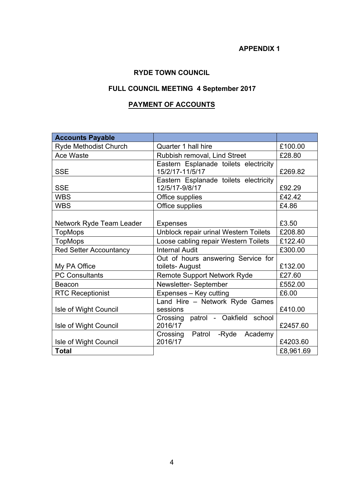# **APPENDIX 1**

# **RYDE TOWN COUNCIL**

# **FULL COUNCIL MEETING 4 September 2017**

# **PAYMENT OF ACCOUNTS**

| <b>Accounts Payable</b>       |                                                         |           |
|-------------------------------|---------------------------------------------------------|-----------|
| <b>Ryde Methodist Church</b>  | Quarter 1 hall hire                                     | £100.00   |
| Ace Waste                     | Rubbish removal, Lind Street                            | £28.80    |
|                               | Eastern Esplanade toilets electricity                   |           |
| <b>SSE</b>                    | 15/2/17-11/5/17                                         | £269.82   |
| <b>SSE</b>                    | Eastern Esplanade toilets electricity<br>12/5/17-9/8/17 | £92.29    |
| <b>WBS</b>                    | Office supplies                                         | £42.42    |
| <b>WBS</b>                    | Office supplies                                         | £4.86     |
|                               |                                                         |           |
| Network Ryde Team Leader      | <b>Expenses</b>                                         | £3.50     |
| <b>TopMops</b>                | Unblock repair urinal Western Toilets                   | £208.80   |
| <b>TopMops</b>                | Loose cabling repair Western Toilets                    | £122.40   |
| <b>Red Setter Accountancy</b> | <b>Internal Audit</b>                                   | £300.00   |
|                               | Out of hours answering Service for                      |           |
| My PA Office                  | toilets- August                                         | £132.00   |
| <b>PC Consultants</b>         | <b>Remote Support Network Ryde</b>                      | £27.60    |
| Beacon                        | Newsletter-September                                    | £552.00   |
| <b>RTC Receptionist</b>       | Expenses - Key cutting                                  | £6.00     |
|                               | Land Hire - Network Ryde Games                          |           |
| Isle of Wight Council         | sessions                                                | £410.00   |
|                               | patrol - Oakfield school<br>Crossing                    |           |
| Isle of Wight Council         | 2016/17                                                 | £2457.60  |
|                               | Crossing Patrol - Ryde Academy                          |           |
| Isle of Wight Council         | 2016/17                                                 | £4203.60  |
| <b>Total</b>                  |                                                         | £8,961.69 |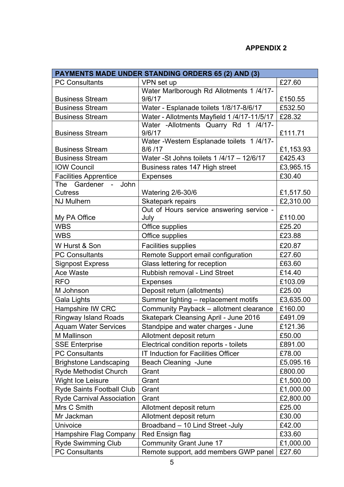# **APPENDIX 2**

| <b>PAYMENTS MADE UNDER STANDING ORDERS 65 (2) AND (3)</b> |                                                       |           |  |  |
|-----------------------------------------------------------|-------------------------------------------------------|-----------|--|--|
| <b>PC Consultants</b>                                     | VPN set up                                            | £27.60    |  |  |
|                                                           | Water Marlborough Rd Allotments 1 /4/17-              |           |  |  |
| <b>Business Stream</b>                                    | 9/6/17                                                | £150.55   |  |  |
| <b>Business Stream</b>                                    | Water - Esplanade toilets 1/8/17-8/6/17               | £532.50   |  |  |
| <b>Business Stream</b>                                    | Water - Allotments Mayfield 1/4/17-11/5/17            | £28.32    |  |  |
|                                                           | Water -Allotments Quarry Rd 1 /4/17-                  |           |  |  |
| <b>Business Stream</b>                                    | 9/6/17                                                | £111.71   |  |  |
| <b>Business Stream</b>                                    | Water - Western Esplanade toilets 1/4/17-<br>8/6 / 17 | £1,153.93 |  |  |
| <b>Business Stream</b>                                    | Water -St Johns toilets 1 /4/17 - 12/6/17             | £425.43   |  |  |
| <b>IOW Council</b>                                        | Business rates 147 High street                        | £3,965.15 |  |  |
| <b>Facilities Apprentice</b>                              | <b>Expenses</b>                                       | £30.40    |  |  |
| John<br>Gardener<br>The<br>$\blacksquare$                 |                                                       |           |  |  |
| <b>Cutress</b>                                            | <b>Watering 2/6-30/6</b>                              | £1,517.50 |  |  |
| <b>NJ Mulhern</b>                                         | Skatepark repairs                                     | £2,310.00 |  |  |
|                                                           | Out of Hours service answering service -              |           |  |  |
| My PA Office                                              | July                                                  | £110.00   |  |  |
| <b>WBS</b>                                                | Office supplies                                       | £25.20    |  |  |
| <b>WBS</b>                                                | Office supplies                                       | £23.88    |  |  |
| W Hurst & Son                                             | <b>Facilities supplies</b>                            | £20.87    |  |  |
| <b>PC Consultants</b>                                     | Remote Support email configuration                    | £27.60    |  |  |
| <b>Signpost Express</b>                                   | Glass lettering for reception                         | £63.60    |  |  |
| <b>Ace Waste</b>                                          | Rubbish removal - Lind Street                         | £14.40    |  |  |
| <b>RFO</b>                                                | <b>Expenses</b>                                       | £103.09   |  |  |
| M Johnson                                                 | Deposit return (allotments)                           | £25.00    |  |  |
| Gala Lights                                               | Summer lighting - replacement motifs                  | £3,635.00 |  |  |
| Hampshire IW CRC                                          | Community Payback - allotment clearance               | £160.00   |  |  |
| <b>Ringway Island Roads</b>                               | <b>Skatepark Cleansing April - June 2016</b>          | £491.09   |  |  |
| <b>Aquam Water Services</b>                               | Standpipe and water charges - June                    | £121.36   |  |  |
| M Mallinson                                               | Allotment deposit return                              | £50.00    |  |  |
| <b>SSE Enterprise</b>                                     | Electrical condition reports - toilets                | £891.00   |  |  |
| <b>PC Consultants</b>                                     | IT Induction for Facilities Officer                   | £78.00    |  |  |
| <b>Brighstone Landscaping</b>                             | Beach Cleaning - June                                 | £5,095.16 |  |  |
| Ryde Methodist Church                                     | Grant                                                 | £800.00   |  |  |
| Wight Ice Leisure                                         | Grant                                                 | £1,500.00 |  |  |
| <b>Ryde Saints Football Club</b>                          | Grant                                                 | £1,000.00 |  |  |
| <b>Ryde Carnival Association</b>                          | Grant                                                 | £2,800.00 |  |  |
| Mrs C Smith                                               | Allotment deposit return                              | £25.00    |  |  |
| Mr Jackman                                                | Allotment deposit return                              | £30.00    |  |  |
| Univoice                                                  | Broadband - 10 Lind Street -July                      | £42.00    |  |  |
| Hampshire Flag Company                                    | Red Ensign flag                                       | £33.60    |  |  |
| <b>Ryde Swimming Club</b>                                 | <b>Community Grant June 17</b>                        | £1,000.00 |  |  |
| <b>PC Consultants</b>                                     | Remote support, add members GWP panel                 | £27.60    |  |  |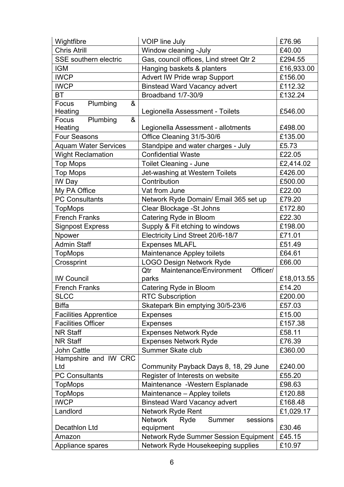| Wightfibre                        | <b>VOIP line July</b>                        | £76.96     |
|-----------------------------------|----------------------------------------------|------------|
| <b>Chris Atrill</b>               | Window cleaning -July                        | £40.00     |
| SSE southern electric             | Gas, council offices, Lind street Qtr 2      | £294.55    |
| <b>IGM</b>                        | Hanging baskets & planters                   | £16,933.00 |
| <b>IWCP</b>                       | Advert IW Pride wrap Support                 | £156.00    |
| <b>IWCP</b>                       | <b>Binstead Ward Vacancy advert</b>          | £112.32    |
| <b>BT</b>                         | Broadband 1/7-30/9                           | £132.24    |
| Focus<br>Plumbing<br>&            |                                              | £546.00    |
| Heating<br>&<br>Plumbing<br>Focus | Legionella Assessment - Toilets              |            |
| Heating                           | Legionella Assessment - allotments           | £498.00    |
| <b>Four Seasons</b>               | Office Cleaning 31/5-30/6                    | £135.00    |
| <b>Aquam Water Services</b>       | Standpipe and water charges - July           | £5.73      |
| <b>Wight Reclamation</b>          | <b>Confidential Waste</b>                    | £22.05     |
| <b>Top Mops</b>                   | <b>Toilet Cleaning - June</b>                | £2,414.02  |
| <b>Top Mops</b>                   | Jet-washing at Western Toilets               | £426.00    |
| IW Day                            | Contribution                                 | £500.00    |
| My PA Office                      | Vat from June                                | £22.00     |
| <b>PC Consultants</b>             | Network Ryde Domain/ Email 365 set up        | £79.20     |
| <b>TopMops</b>                    | Clear Blockage - St Johns                    | £172.80    |
| <b>French Franks</b>              | Catering Ryde in Bloom                       | £22.30     |
| <b>Signpost Express</b>           | Supply & Fit etching to windows              | £198.00    |
| Npower                            | Electricity Lind Street 20/6-18/7            | £71.01     |
| <b>Admin Staff</b>                | <b>Expenses MLAFL</b>                        | £51.49     |
| <b>TopMops</b>                    | Maintenance Appley toilets                   | £64.61     |
| Crossprint                        | <b>LOGO Design Network Ryde</b>              | £66.00     |
|                                   | Maintenance/Environment<br>Officer/<br>Qtr   |            |
| <b>IW Council</b>                 | parks                                        | £18,013.55 |
| <b>French Franks</b>              | Catering Ryde in Bloom                       | £14.20     |
| <b>SLCC</b>                       | <b>RTC Subscription</b>                      | £200.00    |
| <b>Biffa</b>                      | Skatepark Bin emptying 30/5-23/6             | £57.03     |
| <b>Facilities Apprentice</b>      | <b>Expenses</b>                              | £15.00     |
| <b>Facilities Officer</b>         | <b>Expenses</b>                              | £157.38    |
| <b>NR Staff</b>                   | <b>Expenses Network Ryde</b>                 | £58.11     |
| <b>NR Staff</b>                   | <b>Expenses Network Ryde</b>                 | £76.39     |
| <b>John Cattle</b>                | Summer Skate club                            | £360.00    |
| Hampshire and IW CRC              |                                              |            |
| Ltd                               | Community Payback Days 8, 18, 29 June        | £240.00    |
| <b>PC Consultants</b>             | Register of Interests on website             | £55.20     |
| <b>TopMops</b>                    | Maintenance - Western Esplanade              | £98.63     |
| <b>TopMops</b>                    | Maintenance - Appley toilets                 | £120.88    |
| <b>IWCP</b>                       | <b>Binstead Ward Vacancy advert</b>          | £168.48    |
| Landlord                          | Network Ryde Rent                            | £1,029.17  |
|                                   | <b>Network</b><br>Ryde<br>Summer<br>sessions |            |
| Decathlon Ltd                     | equipment                                    | £30.46     |
| Amazon                            | Network Ryde Summer Session Equipment        | £45.15     |
| Appliance spares                  | Network Ryde Housekeeping supplies           | £10.97     |